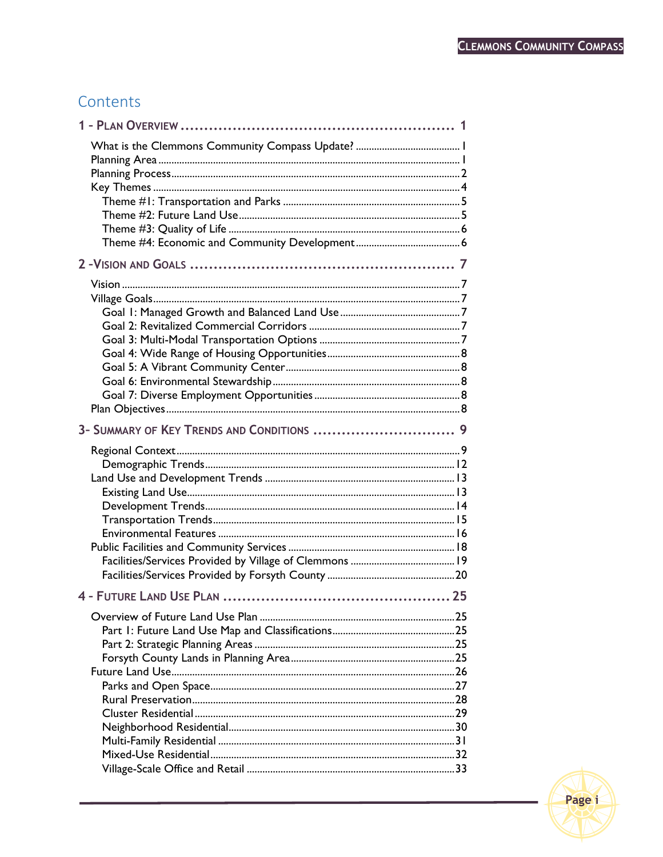## Contents

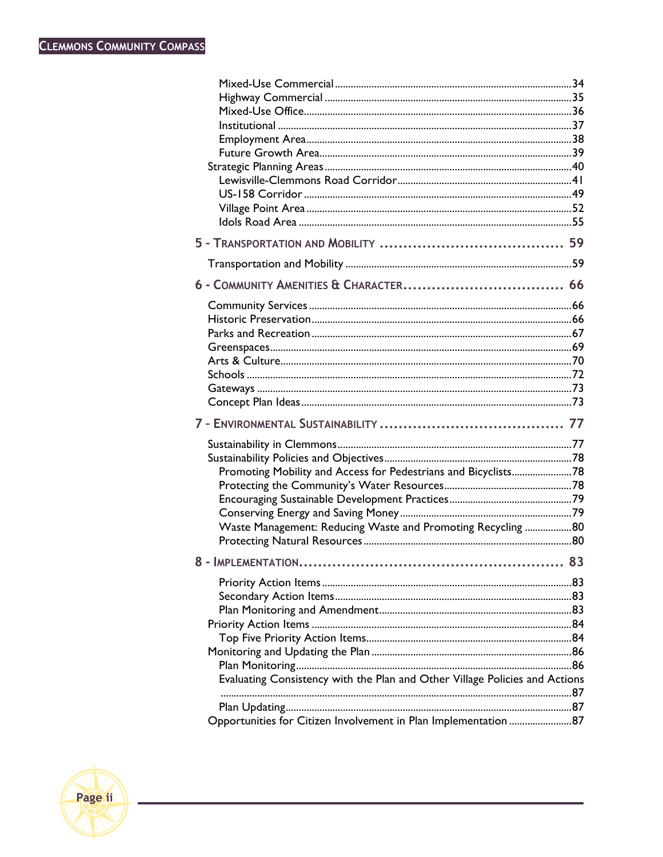| Promoting Mobility and Access for Pedestrians and Bicyclists78              |    |
|-----------------------------------------------------------------------------|----|
|                                                                             |    |
|                                                                             |    |
|                                                                             |    |
| Waste Management: Reducing Waste and Promoting Recycling 80                 |    |
|                                                                             |    |
| <b>8 - IMPI FMENTATION</b>                                                  |    |
|                                                                             | 83 |
|                                                                             |    |
|                                                                             |    |
|                                                                             |    |
|                                                                             |    |
|                                                                             |    |
|                                                                             |    |
|                                                                             |    |
| Evaluating Consistency with the Plan and Other Village Policies and Actions |    |
|                                                                             |    |
|                                                                             |    |
|                                                                             |    |

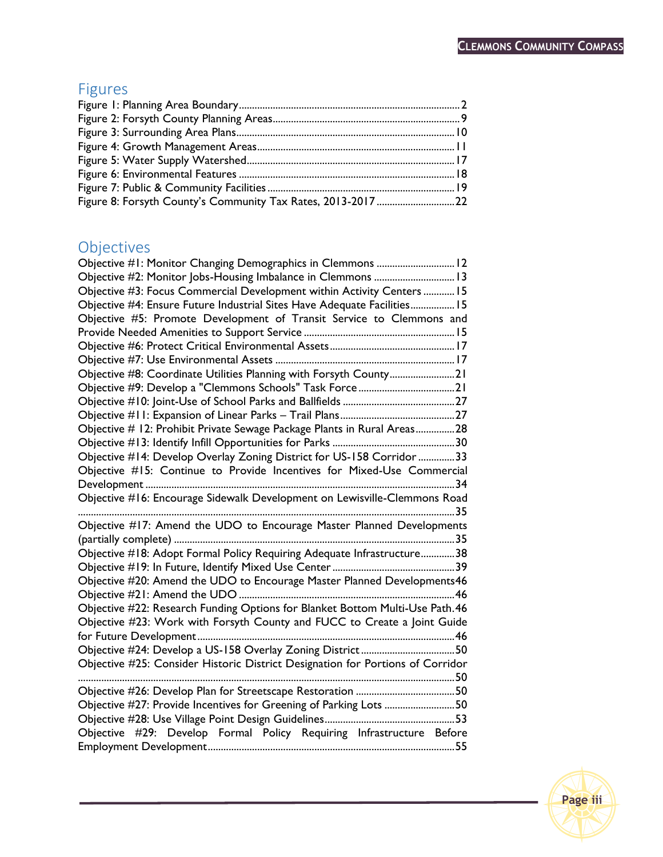## Figures

| Figure 8: Forsyth County's Community Tax Rates, 2013-201722 |  |
|-------------------------------------------------------------|--|

## Objectives

| Objective #1: Monitor Changing Demographics in Clemmons  12                    |
|--------------------------------------------------------------------------------|
| Objective #2: Monitor Jobs-Housing Imbalance in Clemmons  13                   |
| Objective #3: Focus Commercial Development within Activity Centers15           |
| Objective #4: Ensure Future Industrial Sites Have Adequate Facilities 15       |
| Objective #5: Promote Development of Transit Service to Clemmons and           |
|                                                                                |
|                                                                                |
|                                                                                |
| Objective #8: Coordinate Utilities Planning with Forsyth County21              |
|                                                                                |
|                                                                                |
|                                                                                |
| Objective # 12: Prohibit Private Sewage Package Plants in Rural Areas28        |
|                                                                                |
| Objective #14: Develop Overlay Zoning District for US-158 Corridor 33          |
| Objective #15: Continue to Provide Incentives for Mixed-Use Commercial         |
| 34                                                                             |
| Objective #16: Encourage Sidewalk Development on Lewisville-Clemmons Road      |
|                                                                                |
| Objective #17: Amend the UDO to Encourage Master Planned Developments          |
|                                                                                |
| Objective #18: Adopt Formal Policy Requiring Adequate Infrastructure38         |
|                                                                                |
| Objective #20: Amend the UDO to Encourage Master Planned Developments46        |
|                                                                                |
| Objective #22: Research Funding Options for Blanket Bottom Multi-Use Path.46   |
| Objective #23: Work with Forsyth County and FUCC to Create a Joint Guide       |
|                                                                                |
| Objective #24: Develop a US-158 Overlay Zoning District50                      |
| Objective #25: Consider Historic District Designation for Portions of Corridor |
|                                                                                |
|                                                                                |
| Objective #27: Provide Incentives for Greening of Parking Lots 50              |
|                                                                                |
| Objective #29: Develop Formal Policy Requiring Infrastructure Before           |
|                                                                                |